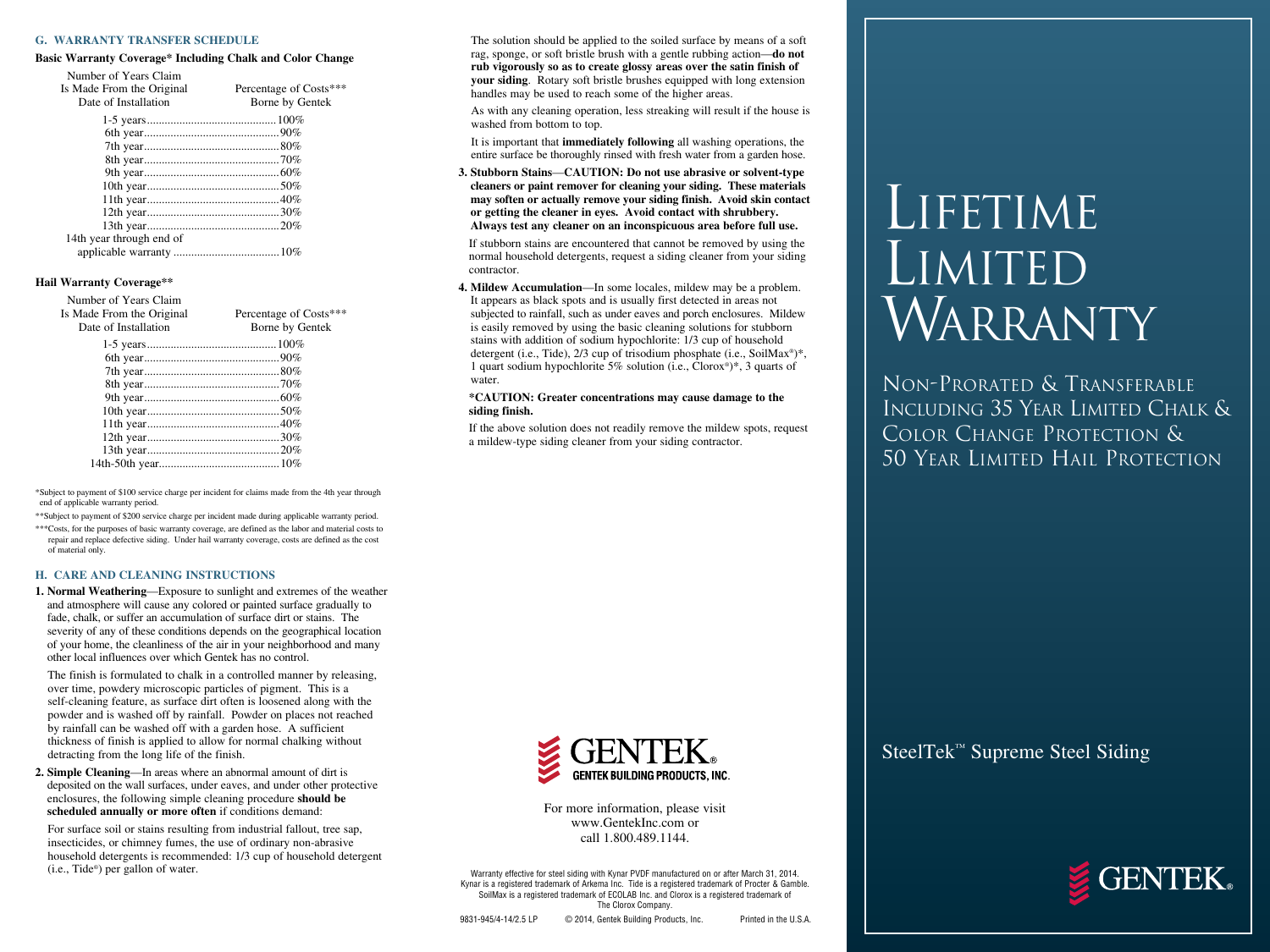#### **G. WARRANTY TRANSFER SCHEDULE**

#### **Basic Warranty Coverage\* Including Chalk and Color Change**

Number of Years Claim

| Is Made From the Original<br>Date of Installation | Percentage of Costs***<br>Borne by Gentek |
|---------------------------------------------------|-------------------------------------------|
|                                                   |                                           |
|                                                   |                                           |
|                                                   |                                           |
|                                                   |                                           |
|                                                   |                                           |
|                                                   |                                           |
|                                                   |                                           |
|                                                   |                                           |
|                                                   |                                           |
| 14th year through end of                          |                                           |
|                                                   |                                           |

#### **Hail Warranty Coverage\*\***

| Number of Years Claim     |                        |
|---------------------------|------------------------|
| Is Made From the Original | Percentage of Costs*** |
| Date of Installation      | Borne by Gentek        |
|                           |                        |
|                           |                        |
|                           |                        |
|                           |                        |
|                           |                        |
|                           |                        |
|                           |                        |
|                           |                        |
|                           |                        |
|                           |                        |

\*Subject to payment of \$100 service charge per incident for claims made from the 4th year through end of applicable warranty period.

\*\*Subject to payment of \$200 service charge per incident made during applicable warranty period.

\*\*\*Costs, for the purposes of basic warranty coverage, are defined as the labor and material costs to repair and replace defective siding. Under hail warranty coverage, costs are defined as the cost of material only.

#### **H. CARE AND CLEANING INSTRUCTIONS**

**1. Normal Weathering**—Exposure to sunlight and extremes of the weather and atmosphere will cause any colored or painted surface gradually to fade, chalk, or suffer an accumulation of surface dirt or stains. The severity of any of these conditions depends on the geographical location of your home, the cleanliness of the air in your neighborhood and many other local influences over which Gentek has no control.

 The finish is formulated to chalk in a controlled manner by releasing, over time, powdery microscopic particles of pigment. This is a self-cleaning feature, as surface dirt often is loosened along with the powder and is washed off by rainfall. Powder on places not reached by rainfall can be washed off with a garden hose. A sufficient thickness of finish is applied to allow for normal chalking without detracting from the long life of the finish.

**2. Simple Cleaning**—In areas where an abnormal amount of dirt is deposited on the wall surfaces, under eaves, and under other protective enclosures, the following simple cleaning procedure **should be scheduled annually or more often** if conditions demand:

 For surface soil or stains resulting from industrial fallout, tree sap, insecticides, or chimney fumes, the use of ordinary non-abrasive household detergents is recommended: 1/3 cup of household detergent (i.e., Tide®) per gallon of water.

 The solution should be applied to the soiled surface by means of a soft rag, sponge, or soft bristle brush with a gentle rubbing action—**do not rub vigorously so as to create glossy areas over the satin finish of your siding**. Rotary soft bristle brushes equipped with long extension handles may be used to reach some of the higher areas.

 As with any cleaning operation, less streaking will result if the house is washed from bottom to top.

 It is important that **immediately following** all washing operations, the entire surface be thoroughly rinsed with fresh water from a garden hose.

**3. Stubborn Stains**—**CAUTION: Do not use abrasive or solvent-type cleaners or paint remover for cleaning your siding. These materials may soften or actually remove your siding finish. Avoid skin contact or getting the cleaner in eyes. Avoid contact with shrubbery. Always test any cleaner on an inconspicuous area before full use.**

 If stubborn stains are encountered that cannot be removed by using the normal household detergents, request a siding cleaner from your siding contractor.

**4. Mildew Accumulation**—In some locales, mildew may be a problem. It appears as black spots and is usually first detected in areas not subjected to rainfall, such as under eaves and porch enclosures. Mildew is easily removed by using the basic cleaning solutions for stubborn stains with addition of sodium hypochlorite: 1/3 cup of household detergent (i.e., Tide), 2/3 cup of trisodium phosphate (i.e., SoilMax<sup>®</sup>)\*, 1 quart sodium hypochlorite 5% solution (i.e.,  $\text{Clorx}^*$ )\*, 3 quarts of water.

#### **\*CAUTION: Greater concentrations may cause damage to the siding finish.**

 If the above solution does not readily remove the mildew spots, request a mildew-type siding cleaner from your siding contractor.



For more information, please visit www.GentekInc.com or call 1.800.489.1144.

Warranty effective for steel siding with Kynar PVDF manufactured on or after March 31, 2014. Kynar is a registered trademark of Arkema Inc. Tide is a registered trademark of Procter & Gamble. SoilMax is a registered trademark of ECOLAB Inc. and Clorox is a registered trademark of The Clorox Company.

# LIFETIME LIMITED WARRANTY

Non-Prorated & Transferable Including 35 Year Limited Chalk & Color Change Protection & 50 Year Limited Hail Protection

SteelTek™ Supreme Steel Siding